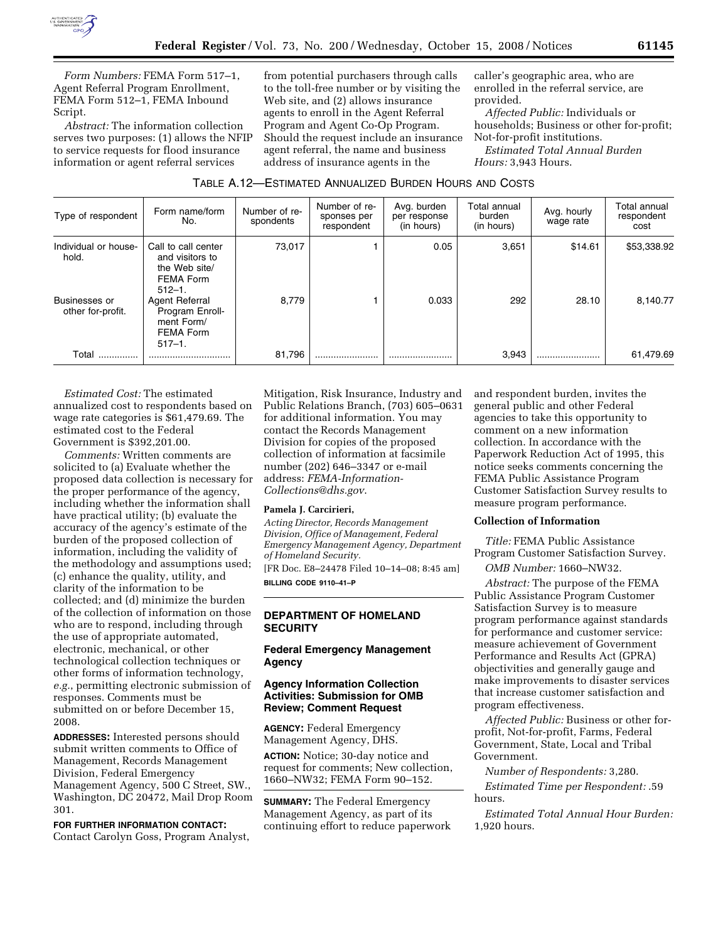

*Form Numbers:* FEMA Form 517–1, Agent Referral Program Enrollment, FEMA Form 512–1, FEMA Inbound Script.

*Abstract:* The information collection serves two purposes: (1) allows the NFIP to service requests for flood insurance information or agent referral services

from potential purchasers through calls to the toll-free number or by visiting the Web site, and (2) allows insurance agents to enroll in the Agent Referral Program and Agent Co-Op Program. Should the request include an insurance agent referral, the name and business address of insurance agents in the

caller's geographic area, who are enrolled in the referral service, are provided.

*Affected Public:* Individuals or households; Business or other for-profit; Not-for-profit institutions.

*Estimated Total Annual Burden Hours:* 3,943 Hours.

| TABLE A.12—ESTIMATED ANNUALIZED BURDEN HOURS AND COSTS |
|--------------------------------------------------------|
|--------------------------------------------------------|

| Type of respondent                        | Form name/form<br>No.                                                                      | Number of re-<br>Number of re-<br>sponses per<br>spondents |   | Avg. burden<br>per response<br>(in hours) | Total annual<br>burden<br>(in hours) | Avg. hourly<br>wage rate | Total annual<br>respondent<br>cost |  |
|-------------------------------------------|--------------------------------------------------------------------------------------------|------------------------------------------------------------|---|-------------------------------------------|--------------------------------------|--------------------------|------------------------------------|--|
| Individual or house-<br>hold.             | Call to call center<br>and visitors to<br>the Web site/<br><b>FEMA Form</b><br>$512 - 1$ . | 73,017                                                     |   | 0.05                                      | 3,651                                | \$14.61                  | \$53,338.92                        |  |
| <b>Businesses or</b><br>other for-profit. | Agent Referral<br>Program Enroll-<br>ment Form/<br>FEMA Form<br>$517 - 1$ .                | 8,779                                                      |   | 0.033                                     | 292                                  | 28.10                    | 8,140.77                           |  |
| Total                                     |                                                                                            | 81,796                                                     | . |                                           | 3,943                                |                          | 61,479.69                          |  |

*Estimated Cost:* The estimated annualized cost to respondents based on wage rate categories is \$61,479.69. The estimated cost to the Federal Government is \$392,201.00.

*Comments:* Written comments are solicited to (a) Evaluate whether the proposed data collection is necessary for the proper performance of the agency, including whether the information shall have practical utility; (b) evaluate the accuracy of the agency's estimate of the burden of the proposed collection of information, including the validity of the methodology and assumptions used; (c) enhance the quality, utility, and clarity of the information to be collected; and (d) minimize the burden of the collection of information on those who are to respond, including through the use of appropriate automated, electronic, mechanical, or other technological collection techniques or other forms of information technology, *e.g.*, permitting electronic submission of responses. Comments must be submitted on or before December 15, 2008.

**ADDRESSES:** Interested persons should submit written comments to Office of Management, Records Management Division, Federal Emergency Management Agency, 500 C Street, SW., Washington, DC 20472, Mail Drop Room 301.

**FOR FURTHER INFORMATION CONTACT:**  Contact Carolyn Goss, Program Analyst,

Mitigation, Risk Insurance, Industry and Public Relations Branch, (703) 605–0631 for additional information. You may contact the Records Management Division for copies of the proposed collection of information at facsimile number (202) 646–3347 or e-mail address: *FEMA-Information-Collections@dhs.gov*.

### **Pamela J. Carcirieri,**

*Acting Director, Records Management Division, Office of Management, Federal Emergency Management Agency, Department of Homeland Security.*  [FR Doc. E8–24478 Filed 10–14–08; 8:45 am]

**BILLING CODE 9110–41–P** 

## **DEPARTMENT OF HOMELAND SECURITY**

## **Federal Emergency Management Agency**

# **Agency Information Collection Activities: Submission for OMB Review; Comment Request**

**AGENCY:** Federal Emergency Management Agency, DHS.

**ACTION:** Notice; 30-day notice and request for comments; New collection, 1660–NW32; FEMA Form 90–152.

**SUMMARY:** The Federal Emergency Management Agency, as part of its continuing effort to reduce paperwork

and respondent burden, invites the general public and other Federal agencies to take this opportunity to comment on a new information collection. In accordance with the Paperwork Reduction Act of 1995, this notice seeks comments concerning the FEMA Public Assistance Program Customer Satisfaction Survey results to measure program performance.

### **Collection of Information**

*Title:* FEMA Public Assistance Program Customer Satisfaction Survey.

*OMB Number:* 1660–NW32.

*Abstract:* The purpose of the FEMA Public Assistance Program Customer Satisfaction Survey is to measure program performance against standards for performance and customer service: measure achievement of Government Performance and Results Act (GPRA) objectivities and generally gauge and make improvements to disaster services that increase customer satisfaction and program effectiveness.

*Affected Public:* Business or other forprofit, Not-for-profit, Farms, Federal Government, State, Local and Tribal Government.

*Number of Respondents:* 3,280.

*Estimated Time per Respondent:* .59 hours.

*Estimated Total Annual Hour Burden:*  1,920 hours.